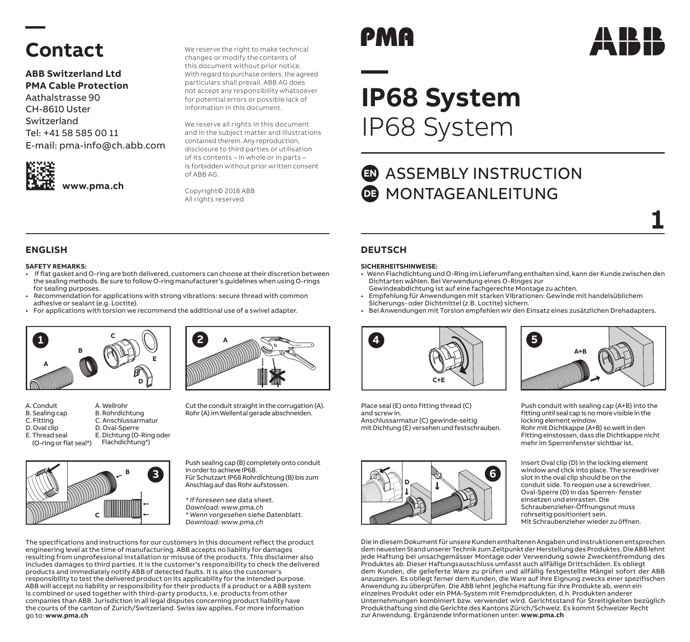## **— Contact**

**ABB Switzerland Ltd PMA Cable Protection** Aathalstrasse 90 CH-8610 Uster Switzerland Tel: +41 58 585 00 11

E-mail: pma-info@ch.abb.com



We reserve the right to make technical changes or modify the contents of this document without prior notice. With regard to purchase orders, the agreed particulars shall prevail. ABB AG does not accept any responsibility whatsoever for potential errors or possible lack of information in this document.

We reserve all rights in this document and in the subject matter and illustrations contained therein. Any reproduction, disclosure to third parties or utilisation of its contents – in whole or in parts – is forbidden without prior written consent of ABB AG.

Copyright© 2018 ABB All rights reserved

# PMA

# **— IP68 System**  IP68 System

### **ED** ASSEMBLY INSTRUCTION MONTAGEANLEITUNG **DE**

**1**

### **SAFETY REMARKS:**

- If flat gasket and O-ring are both delivered, customers can choose at their discretion between the sealing methods. Be sure to follow O-ring manufacturer's guidelines when using O-rings for sealing purposes.
- Recommendation for applications with strong vibrations: secure thread with common adhesive or sealant (e.g. Loctite).
- For applications with torsion we recommend the additional use of a swivel adapter.



- A. Conduit A. Wellrohr B. Rohrdichtung
- B. Sealing cap
- C. Fitting
- D. Oval clip E. Thread seal
- (O-ring or flat seal\*) D. Oval-Sperre E. Dichtung (O-Ring oder Flachdichtung\*)

C. Anschlussarmatur





Cut the conduit straight in the corrugation (A). Rohr (A) im Wellental gerade abschneiden.

Push sealing cap (B) completely onto conduit in order to achieve IP68. Für Schutzart IP68 Rohrdichtung (B) bis zum Anschlag auf das Rohr aufstossen.

\* If foreseen see data sheet. Download: www.pma.ch \* Wenn vorgesehen siehe Datenblatt. Download: www.pma.ch

The specifications and instructions for our customers in this document reflect the product engineering level at the time of manufacturing. ABB accepts no liability for damages resulting from unprofessional installation or misuse of the products. This disclaimer also includes damages to third parties. It is the customer's responsibility to check the delivered products and immediately notify ABB of detected faults. It is also the customer's responsibility to test the delivered product on its applicability for the intended purpose. ABB will accept no liability or responsibility for their products if a product or a ABB system is combined or used together with third-party products, i.e. products from other companies than ABB. Jurisdiction in all legal disputes concerning product liability have the courts of the canton of Zurich/Switzerland. Swiss law applies. For more information go to: **www.pma.ch**

### **ENGLISH DEUTSCH**

### **SICHERHEITSHINWEISE:**

- Wenn Flachdichtung und O-Ring im Lieferumfang enthalten sind, kann der Kunde zwischen den Dichtarten wählen. Bei Verwendung eines O-Ringes zur
- Gewindeabdichtung ist auf eine fachgerechte Montage zu achten.
- Empfehlung für Anwendungen mit starken Vibrationen: Gewinde mit handelsüblichem Sicherungs- oder Dichtmittel (z.B. Loctite) sichern.
- Bei Anwendungen mit Torsion empfehlen wir den Einsatz eines zusätzlichen Drehadapters.



Place seal (E) onto fitting thread (C) and screw in. Anschlussarmatur (C) gewinde-seitig mit Dichtung (E) versehen und festschrauben.





Push conduit with sealing cap (A+B) into the fitting until seal cap is no more visible in the locking element window. Rohr mit Dichtkappe (A+B) so weit in den Fitting einstossen, dass die Dichtkappe nicht mehr im Sperrenfenster sichtbar ist.

Insert Oval clip (D) in the locking element window and click into place. The screwdriver slot in the oval clip should be on the conduit side. To reopen use a screwdriver. Oval-Sperre (D) in das Sperren- fenster einsetzen und einrasten. Die Schraubenzieher-Öffnungsnut muss rohrseitig positioniert sein. Mit Schraubenzieher wieder zu öffnen.

Die in diesem Dokument für unsere Kunden enthaltenen Angaben und Instruktionen entsprechen dem neuesten Stand unserer Technik zum Zeitpunkt der Herstellung des Produktes. Die ABB lehnt jede Haftung bei unsachgemässer Montage oder Verwendung sowie Zweckentfremdung des Produktes ab. Dieser Haftungsausschluss umfasst auch allfällige Drittschäden. Es obliegt dem Kunden, die gelieferte Ware zu prüfen und allfällig festgestellte Mängel sofort der ABB anzuzeigen. Es obliegt ferner dem Kunden, die Ware auf ihre Eignung zwecks einer spezifischen Anwendung zu überprüfen. Die ABB lehnt jegliche Haftung für ihre Produkte ab, wenn ein einzelnes Produkt oder ein PMA-System mit Fremdprodukten, d.h. Produkten anderer Unternehmungen kombiniert bzw. verwendet wird. Gerichtsstand für Streitigkeiten bezüglich Produkthaftung sind die Gerichte des Kantons Zürich/Schweiz. Es kommt Schweizer Recht zur Anwendung. Ergänzende Informationen unter: **www.pma.ch**